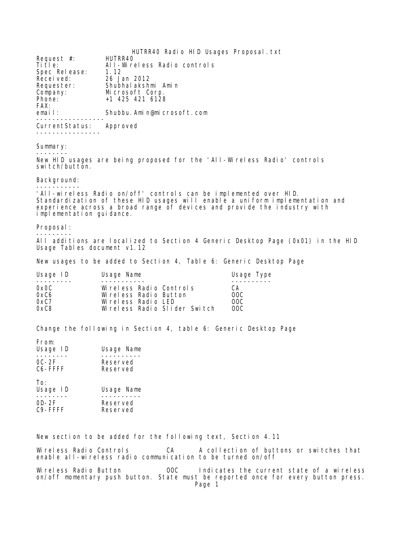HUTRR40 Radio HID Usages Proposal.txt Request #:<br>Title: All-Wireless Radio controls<br>1.12 Spec Release:<br>Recei ved: Received: 26 Jan 2012 Requester: Shubhalakshmi Amin<br>Company: Microsoft Corp. Company: Microsoft Corp.<br>Phone: +1 425 421 6128 Phone: +1 425 421 6128 FAX:<br>email: Shubbu. Amin@microsoft.com ----------------- CurrentStatus: Approved ---------------- Summary: -------- New HID usages are being proposed for the 'All-Wireless Radio' controls switch/button. Background: ----------- 'All-wireless Radio on/off' controls can be implemented over HID. Standardization of these HID usages will enable a uniform implementation and experience across a broad range of devices and provide the industry with implementation guidance. Proposal: --------- All additions are localized to Section 4 Generic Desktop Page (0x01) in the HID Usage Tables document v1.12 New usages to be added to Section 4, Table 6: Generic Desktop Page Usage ID Usage Name **Usage In the Usage Type** --------- ----------- ---------- 0x0C Wireless Radio Controls CA 0xC6 Wireless Radio Button OOC 0xC7 Wireless Radio LED OOC

Change the following in Section 4, table 6: Generic Desktop Page

Wireless Radio Slider Switch

| From:<br>Usage ID<br>$OC-2F$<br>C6-FFFF            | Usage Name<br>Reserved<br>Reserved |
|----------------------------------------------------|------------------------------------|
| To:<br>Usage ID<br>$OD-2F$<br>C <sub>9</sub> -FFFF | Usage Name<br>Reserved<br>Reserved |

New section to be added for the following text, Section 4.11

Wireless Radio Controls CA A collection of buttons or switches that enable all-wireless radio communication to be turned on/off

Wireless Radio Button **OOC** Indicates the current state of a wireless on/off momentary push button. State must be reported once for every button press. Page 1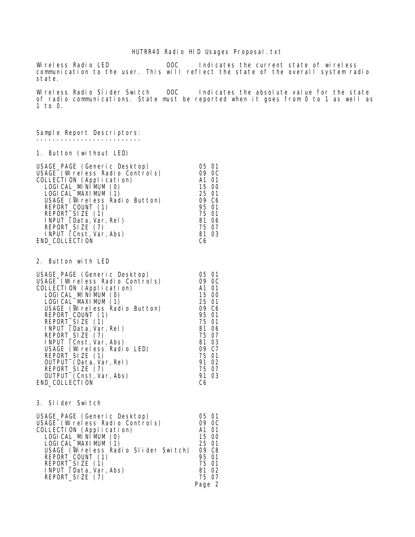## HUTRR40 Radio HID Usages Proposal.txt

Wireless Radio LED OOC Indicates the current state of wireless communication to the user. This will reflect the state of the overall system radio state.

Wireless Radio Slider Switch 00C Indicates the absolute value for the state of radio communications. State must be reported when it goes from 0 to 1 as well as 1 to 0.

Sample Report Descriptors: --------------------------

1. Button (without LED)

| USAGE_PAGE (Generic Desktop)    | 05 01 |
|---------------------------------|-------|
| USAGE (Wireless Radio Controls) | 09 OC |
| COLLECTION (Application)        | A1 01 |
| LOGI CAL_MINI MUM (0)           | 15 00 |
| LOGI CAL_MAXI MUM (1)           | 25 01 |
| USAGE (Wireless Radio Button)   | 09 C6 |
| REPORT_COUNT (1)                | 95 01 |
| REPORT_SIZE (1)                 | 75 01 |
| INPUT (Data, Var, Rel)          | 81 06 |
| REPORT_SIZE (7)                 | 75 07 |
| INPUT $(Const, Var, Abs)$       | 81 03 |
| END_COLLECTION                  | C6    |

2. Button with LED

| 05 01 |
|-------|
| 09 OC |
| A1 01 |
| 15 00 |
| 25 01 |
| 09 C6 |
| 95 01 |
| 75 01 |
| 81 06 |
| 75 07 |
| 81 03 |
| 09 C7 |
| 75 01 |
| 91 02 |
| 75 07 |
| 91 03 |
| C6    |
|       |

3. Slider Switch

| 05 01                                |
|--------------------------------------|
| 09 OC                                |
| A1 01                                |
| 15 00                                |
| 25 01                                |
| 09 C8                                |
| 95 01                                |
| 75 01                                |
| 81 02                                |
| 75 07                                |
| Page 2                               |
| USAGE (Wireless Radio Slider Switch) |